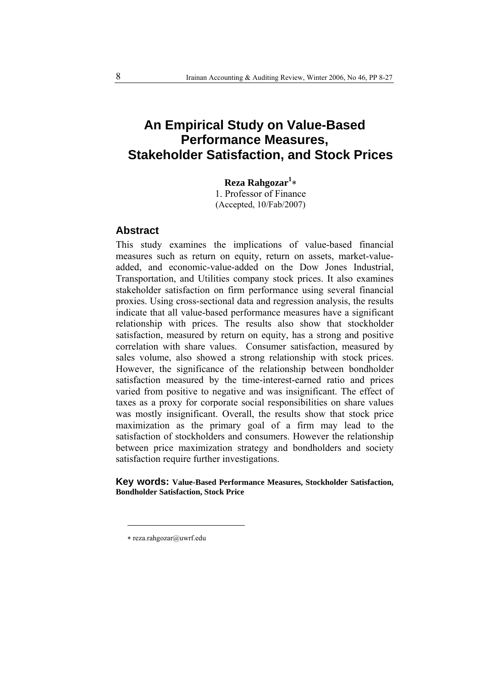# **An Empirical Study on Value-Based Performance Measures, Stakeholder Satisfaction, and Stock Prices**

**Reza Rahgozar<sup>1</sup>** ∗

1. Professor of Finance (Accepted, 10/Fab/2007)

# **Abstract**

This study examines the implications of value-based financial measures such as return on equity, return on assets, market-valueadded, and economic-value-added on the Dow Jones Industrial, Transportation, and Utilities company stock prices. It also examines stakeholder satisfaction on firm performance using several financial proxies. Using cross-sectional data and regression analysis, the results indicate that all value-based performance measures have a significant relationship with prices. The results also show that stockholder satisfaction, measured by return on equity, has a strong and positive correlation with share values. Consumer satisfaction, measured by sales volume, also showed a strong relationship with stock prices. However, the significance of the relationship between bondholder satisfaction measured by the time-interest-earned ratio and prices varied from positive to negative and was insignificant. The effect of taxes as a proxy for corporate social responsibilities on share values was mostly insignificant. Overall, the results show that stock price maximization as the primary goal of a firm may lead to the satisfaction of stockholders and consumers. However the relationship between price maximization strategy and bondholders and society satisfaction require further investigations.

**Key words: Value-Based Performance Measures, Stockholder Satisfaction, Bondholder Satisfaction, Stock Price** 

 $\overline{a}$ 

<sup>∗</sup> reza.rahgozar@uwrf.edu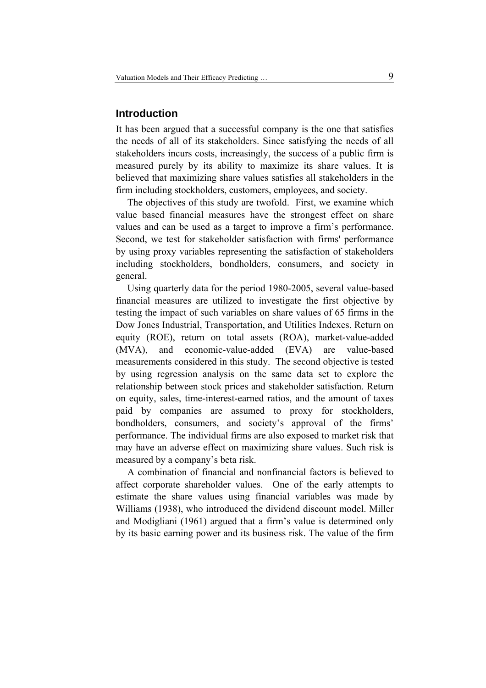# **Introduction**

It has been argued that a successful company is the one that satisfies the needs of all of its stakeholders. Since satisfying the needs of all stakeholders incurs costs, increasingly, the success of a public firm is measured purely by its ability to maximize its share values. It is believed that maximizing share values satisfies all stakeholders in the firm including stockholders, customers, employees, and society.

The objectives of this study are twofold. First, we examine which value based financial measures have the strongest effect on share values and can be used as a target to improve a firm's performance. Second, we test for stakeholder satisfaction with firms' performance by using proxy variables representing the satisfaction of stakeholders including stockholders, bondholders, consumers, and society in general.

Using quarterly data for the period 1980-2005, several value-based financial measures are utilized to investigate the first objective by testing the impact of such variables on share values of 65 firms in the Dow Jones Industrial, Transportation, and Utilities Indexes. Return on equity (ROE), return on total assets (ROA), market-value-added (MVA), and economic-value-added (EVA) are value-based measurements considered in this study. The second objective is tested by using regression analysis on the same data set to explore the relationship between stock prices and stakeholder satisfaction. Return on equity, sales, time-interest-earned ratios, and the amount of taxes paid by companies are assumed to proxy for stockholders, bondholders, consumers, and society's approval of the firms' performance. The individual firms are also exposed to market risk that may have an adverse effect on maximizing share values. Such risk is measured by a company's beta risk.

A combination of financial and nonfinancial factors is believed to affect corporate shareholder values. One of the early attempts to estimate the share values using financial variables was made by Williams (1938), who introduced the dividend discount model. Miller and Modigliani (1961) argued that a firm's value is determined only by its basic earning power and its business risk. The value of the firm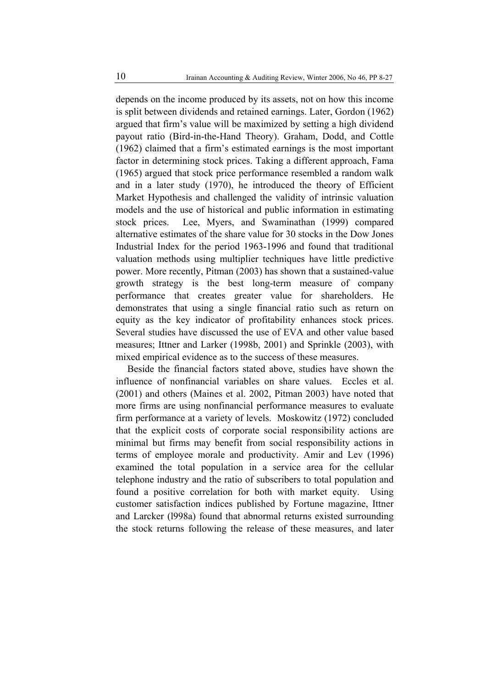depends on the income produced by its assets, not on how this income is split between dividends and retained earnings. Later, Gordon (1962) argued that firm's value will be maximized by setting a high dividend payout ratio (Bird-in-the-Hand Theory). Graham, Dodd, and Cottle (1962) claimed that a firm's estimated earnings is the most important factor in determining stock prices. Taking a different approach, Fama (1965) argued that stock price performance resembled a random walk and in a later study (1970), he introduced the theory of Efficient Market Hypothesis and challenged the validity of intrinsic valuation models and the use of historical and public information in estimating stock prices. Lee, Myers, and Swaminathan (1999) compared alternative estimates of the share value for 30 stocks in the Dow Jones Industrial Index for the period 1963-1996 and found that traditional valuation methods using multiplier techniques have little predictive power. More recently, Pitman (2003) has shown that a sustained-value growth strategy is the best long-term measure of company performance that creates greater value for shareholders. He demonstrates that using a single financial ratio such as return on equity as the key indicator of profitability enhances stock prices. Several studies have discussed the use of EVA and other value based measures; Ittner and Larker (1998b, 2001) and Sprinkle (2003), with mixed empirical evidence as to the success of these measures.

Beside the financial factors stated above, studies have shown the influence of nonfinancial variables on share values. Eccles et al. (2001) and others (Maines et al. 2002, Pitman 2003) have noted that more firms are using nonfinancial performance measures to evaluate firm performance at a variety of levels. Moskowitz (1972) concluded that the explicit costs of corporate social responsibility actions are minimal but firms may benefit from social responsibility actions in terms of employee morale and productivity. Amir and Lev (1996) examined the total population in a service area for the cellular telephone industry and the ratio of subscribers to total population and found a positive correlation for both with market equity. Using customer satisfaction indices published by Fortune magazine, Ittner and Larcker (l998a) found that abnormal returns existed surrounding the stock returns following the release of these measures, and later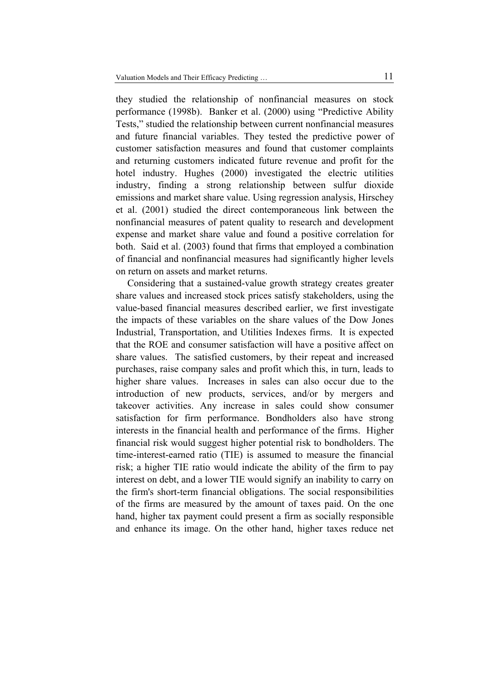they studied the relationship of nonfinancial measures on stock performance (1998b). Banker et al. (2000) using "Predictive Ability Tests," studied the relationship between current nonfinancial measures and future financial variables. They tested the predictive power of customer satisfaction measures and found that customer complaints and returning customers indicated future revenue and profit for the hotel industry. Hughes (2000) investigated the electric utilities industry, finding a strong relationship between sulfur dioxide emissions and market share value. Using regression analysis, Hirschey et al. (2001) studied the direct contemporaneous link between the nonfinancial measures of patent quality to research and development expense and market share value and found a positive correlation for both. Said et al. (2003) found that firms that employed a combination of financial and nonfinancial measures had significantly higher levels on return on assets and market returns.

Considering that a sustained-value growth strategy creates greater share values and increased stock prices satisfy stakeholders, using the value-based financial measures described earlier, we first investigate the impacts of these variables on the share values of the Dow Jones Industrial, Transportation, and Utilities Indexes firms. It is expected that the ROE and consumer satisfaction will have a positive affect on share values. The satisfied customers, by their repeat and increased purchases, raise company sales and profit which this, in turn, leads to higher share values. Increases in sales can also occur due to the introduction of new products, services, and/or by mergers and takeover activities. Any increase in sales could show consumer satisfaction for firm performance. Bondholders also have strong interests in the financial health and performance of the firms. Higher financial risk would suggest higher potential risk to bondholders. The time-interest-earned ratio (TIE) is assumed to measure the financial risk; a higher TIE ratio would indicate the ability of the firm to pay interest on debt, and a lower TIE would signify an inability to carry on the firm's short-term financial obligations. The social responsibilities of the firms are measured by the amount of taxes paid. On the one hand, higher tax payment could present a firm as socially responsible and enhance its image. On the other hand, higher taxes reduce net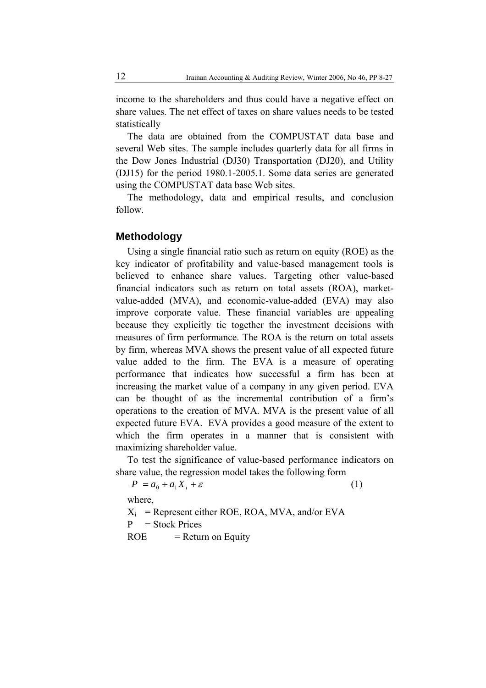income to the shareholders and thus could have a negative effect on share values. The net effect of taxes on share values needs to be tested statistically

The data are obtained from the COMPUSTAT data base and several Web sites. The sample includes quarterly data for all firms in the Dow Jones Industrial (DJ30) Transportation (DJ20), and Utility (DJ15) for the period 1980.1-2005.1. Some data series are generated using the COMPUSTAT data base Web sites.

The methodology, data and empirical results, and conclusion follow.

## **Methodology**

Using a single financial ratio such as return on equity (ROE) as the key indicator of profitability and value-based management tools is believed to enhance share values. Targeting other value-based financial indicators such as return on total assets (ROA), marketvalue-added (MVA), and economic-value-added (EVA) may also improve corporate value. These financial variables are appealing because they explicitly tie together the investment decisions with measures of firm performance. The ROA is the return on total assets by firm, whereas MVA shows the present value of all expected future value added to the firm. The EVA is a measure of operating performance that indicates how successful a firm has been at increasing the market value of a company in any given period. EVA can be thought of as the incremental contribution of a firm's operations to the creation of MVA. MVA is the present value of all expected future EVA. EVA provides a good measure of the extent to which the firm operates in a manner that is consistent with maximizing shareholder value.

To test the significance of value-based performance indicators on share value, the regression model takes the following form

 $P = a_0 + a_1 X_i + \varepsilon$  (1)

where,

 $X_i$  = Represent either ROE, ROA, MVA, and/or EVA

 $P = Stock Prices$ 

 $ROE$  = Return on Equity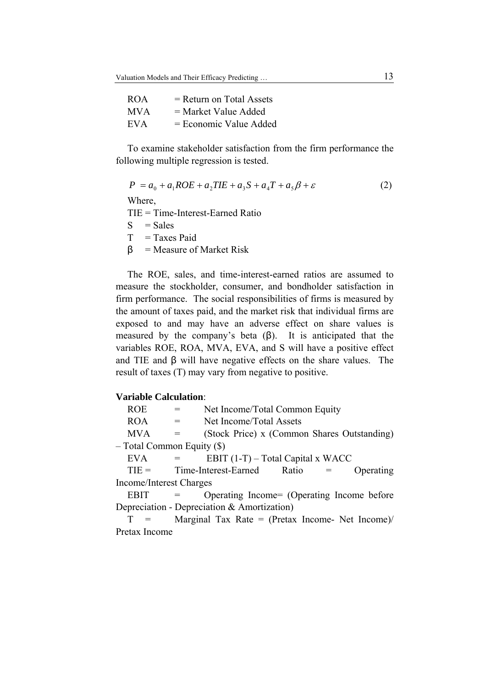| ROA  | $=$ Return on Total Assets |
|------|----------------------------|
| MV A | $=$ Market Value Added     |
| EVA  | $=$ Economic Value Added   |

To examine stakeholder satisfaction from the firm performance the following multiple regression is tested.

$$
P = a_0 + a_1 ROE + a_2 TIE + a_3 S + a_4 T + a_5 \beta + \varepsilon
$$
 (2)

Where,

TIE = Time-Interest-Earned Ratio

 $S = Sales$ 

 $T = Taxes$  Paid

 $\beta$  = Measure of Market Risk

The ROE, sales, and time-interest-earned ratios are assumed to measure the stockholder, consumer, and bondholder satisfaction in firm performance. The social responsibilities of firms is measured by the amount of taxes paid, and the market risk that individual firms are exposed to and may have an adverse effect on share values is measured by the company's beta  $(\beta)$ . It is anticipated that the variables ROE, ROA, MVA, EVA, and S will have a positive effect and TIE and  $\beta$  will have negative effects on the share values. The result of taxes (T) may vary from negative to positive.

#### **Variable Calculation**:

| <b>ROE</b>                     |  | Net Income/Total Common Equity      |                                             |     |           |  |  |  |  |
|--------------------------------|--|-------------------------------------|---------------------------------------------|-----|-----------|--|--|--|--|
| <b>ROA</b>                     |  | Net Income/Total Assets             |                                             |     |           |  |  |  |  |
| <b>MVA</b>                     |  |                                     | (Stock Price) x (Common Shares Outstanding) |     |           |  |  |  |  |
| $-$ Total Common Equity $(\$)$ |  |                                     |                                             |     |           |  |  |  |  |
| <b>EVA</b>                     |  | EBIT $(1-T)$ – Total Capital x WACC |                                             |     |           |  |  |  |  |
| $TIE =$                        |  | Time-Interest-Earned                | Ratio                                       | $=$ | Operating |  |  |  |  |
| Income/Interest Charges        |  |                                     |                                             |     |           |  |  |  |  |

EBIT = Operating Income= (Operating Income before Depreciation - Depreciation & Amortization)

 $T =$  Marginal Tax Rate = (Pretax Income- Net Income) Pretax Income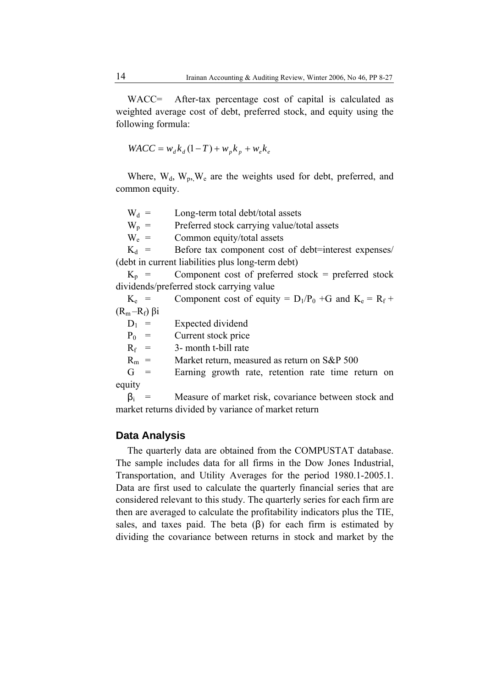WACC= After-tax percentage cost of capital is calculated as weighted average cost of debt, preferred stock, and equity using the following formula:

$$
WACC = w_{d}k_{d}(1 - T) + w_{p}k_{p} + w_{e}k_{e}
$$

Where,  $W_d$ ,  $W_p$ ,  $W_e$  are the weights used for debt, preferred, and common equity.

 $W_d$  = Long-term total debt/total assets

 $W_p$  = Preferred stock carrying value/total assets

 $W_e$  = Common equity/total assets

 $K_d$  = Before tax component cost of debt=interest expenses/ (debt in current liabilities plus long-term debt)

 $K_p$  = Component cost of preferred stock = preferred stock dividends/preferred stock carrying value

 $K_e$  = Component cost of equity =  $D_1/P_0$  +G and  $K_e = R_f +$  $(R<sub>m</sub> - R<sub>f</sub>)$  βi

 $D_1$  = Expected dividend

 $P_0$  = Current stock price

 $R_f$  = 3- month t-bill rate

 $R_m$  = Market return, measured as return on S&P 500

G = Earning growth rate, retention rate time return on equity

 $\beta_i$  = Measure of market risk, covariance between stock and market returns divided by variance of market return

#### **Data Analysis**

The quarterly data are obtained from the COMPUSTAT database. The sample includes data for all firms in the Dow Jones Industrial, Transportation, and Utility Averages for the period 1980.1-2005.1. Data are first used to calculate the quarterly financial series that are considered relevant to this study. The quarterly series for each firm are then are averaged to calculate the profitability indicators plus the TIE, sales, and taxes paid. The beta  $(\beta)$  for each firm is estimated by dividing the covariance between returns in stock and market by the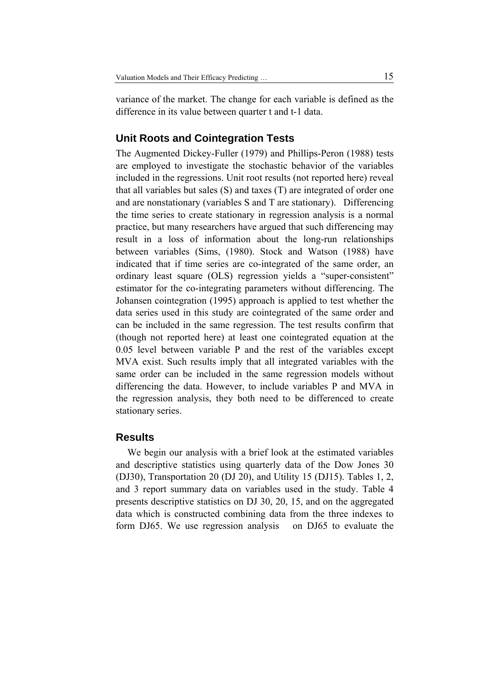variance of the market. The change for each variable is defined as the difference in its value between quarter t and t-1 data.

# **Unit Roots and Cointegration Tests**

The Augmented Dickey-Fuller (1979) and Phillips-Peron (1988) tests are employed to investigate the stochastic behavior of the variables included in the regressions. Unit root results (not reported here) reveal that all variables but sales (S) and taxes (T) are integrated of order one and are nonstationary (variables S and T are stationary). Differencing the time series to create stationary in regression analysis is a normal practice, but many researchers have argued that such differencing may result in a loss of information about the long-run relationships between variables (Sims, (1980). Stock and Watson (1988) have indicated that if time series are co-integrated of the same order, an ordinary least square (OLS) regression yields a "super-consistent" estimator for the co-integrating parameters without differencing. The Johansen cointegration (1995) approach is applied to test whether the data series used in this study are cointegrated of the same order and can be included in the same regression. The test results confirm that (though not reported here) at least one cointegrated equation at the 0.05 level between variable P and the rest of the variables except MVA exist. Such results imply that all integrated variables with the same order can be included in the same regression models without differencing the data. However, to include variables P and MVA in the regression analysis, they both need to be differenced to create stationary series.

# **Results**

We begin our analysis with a brief look at the estimated variables and descriptive statistics using quarterly data of the Dow Jones 30 (DJ30), Transportation 20 (DJ 20), and Utility 15 (DJ15). Tables 1, 2, and 3 report summary data on variables used in the study. Table 4 presents descriptive statistics on DJ 30, 20, 15, and on the aggregated data which is constructed combining data from the three indexes to form DJ65. We use regression analysis on DJ65 to evaluate the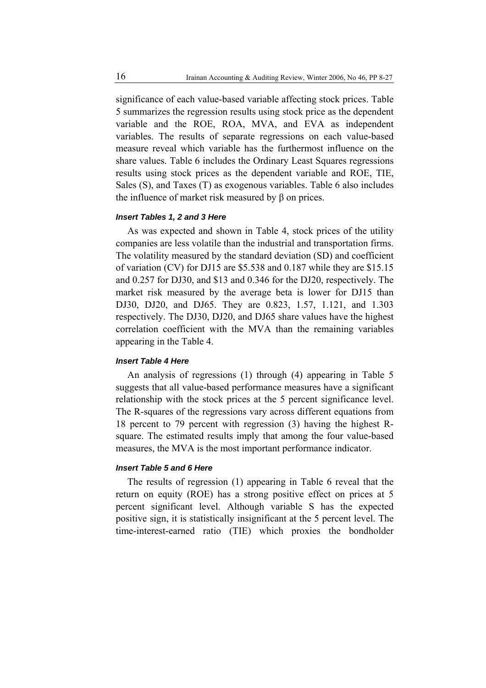significance of each value-based variable affecting stock prices. Table 5 summarizes the regression results using stock price as the dependent variable and the ROE, ROA, MVA, and EVA as independent variables. The results of separate regressions on each value-based measure reveal which variable has the furthermost influence on the share values. Table 6 includes the Ordinary Least Squares regressions results using stock prices as the dependent variable and ROE, TIE, Sales (S), and Taxes (T) as exogenous variables. Table 6 also includes the influence of market risk measured by β on prices.

#### *Insert Tables 1, 2 and 3 Here*

As was expected and shown in Table 4, stock prices of the utility companies are less volatile than the industrial and transportation firms. The volatility measured by the standard deviation (SD) and coefficient of variation (CV) for DJ15 are \$5.538 and 0.187 while they are \$15.15 and 0.257 for DJ30, and \$13 and 0.346 for the DJ20, respectively. The market risk measured by the average beta is lower for DJ15 than DJ30, DJ20, and DJ65. They are 0.823, 1.57, 1.121, and 1.303 respectively. The DJ30, DJ20, and DJ65 share values have the highest correlation coefficient with the MVA than the remaining variables appearing in the Table 4.

#### *Insert Table 4 Here*

An analysis of regressions (1) through (4) appearing in Table 5 suggests that all value-based performance measures have a significant relationship with the stock prices at the 5 percent significance level. The R-squares of the regressions vary across different equations from 18 percent to 79 percent with regression (3) having the highest Rsquare. The estimated results imply that among the four value-based measures, the MVA is the most important performance indicator.

#### *Insert Table 5 and 6 Here*

The results of regression (1) appearing in Table 6 reveal that the return on equity (ROE) has a strong positive effect on prices at 5 percent significant level. Although variable S has the expected positive sign, it is statistically insignificant at the 5 percent level. The time-interest-earned ratio (TIE) which proxies the bondholder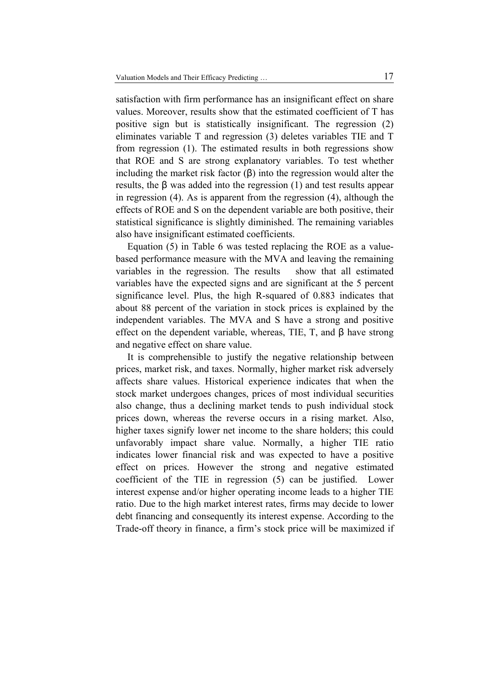satisfaction with firm performance has an insignificant effect on share values. Moreover, results show that the estimated coefficient of T has positive sign but is statistically insignificant. The regression (2) eliminates variable T and regression (3) deletes variables TIE and T from regression (1). The estimated results in both regressions show that ROE and S are strong explanatory variables. To test whether including the market risk factor (β) into the regression would alter the results, the β was added into the regression (1) and test results appear in regression (4). As is apparent from the regression (4), although the effects of ROE and S on the dependent variable are both positive, their statistical significance is slightly diminished. The remaining variables also have insignificant estimated coefficients.

Equation (5) in Table 6 was tested replacing the ROE as a valuebased performance measure with the MVA and leaving the remaining variables in the regression. The results show that all estimated variables have the expected signs and are significant at the 5 percent significance level. Plus, the high R-squared of 0.883 indicates that about 88 percent of the variation in stock prices is explained by the independent variables. The MVA and S have a strong and positive effect on the dependent variable, whereas, TIE, T, and β have strong and negative effect on share value.

It is comprehensible to justify the negative relationship between prices, market risk, and taxes. Normally, higher market risk adversely affects share values. Historical experience indicates that when the stock market undergoes changes, prices of most individual securities also change, thus a declining market tends to push individual stock prices down, whereas the reverse occurs in a rising market. Also, higher taxes signify lower net income to the share holders; this could unfavorably impact share value. Normally, a higher TIE ratio indicates lower financial risk and was expected to have a positive effect on prices. However the strong and negative estimated coefficient of the TIE in regression (5) can be justified. Lower interest expense and/or higher operating income leads to a higher TIE ratio. Due to the high market interest rates, firms may decide to lower debt financing and consequently its interest expense. According to the Trade-off theory in finance, a firm's stock price will be maximized if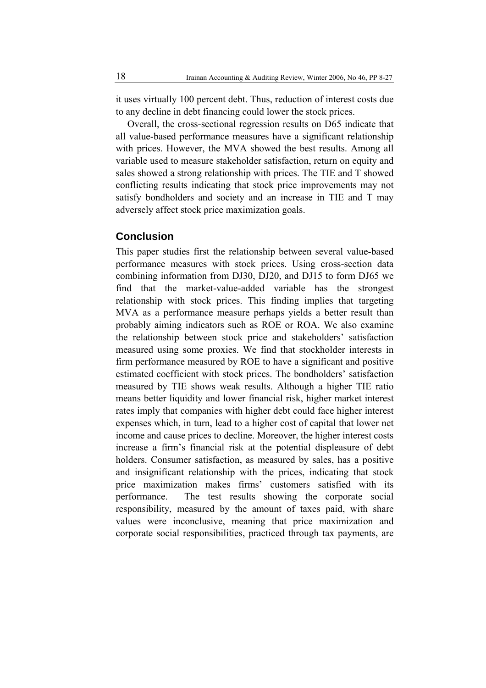it uses virtually 100 percent debt. Thus, reduction of interest costs due to any decline in debt financing could lower the stock prices.

Overall, the cross-sectional regression results on D65 indicate that all value-based performance measures have a significant relationship with prices. However, the MVA showed the best results. Among all variable used to measure stakeholder satisfaction, return on equity and sales showed a strong relationship with prices. The TIE and T showed conflicting results indicating that stock price improvements may not satisfy bondholders and society and an increase in TIE and T may adversely affect stock price maximization goals.

## **Conclusion**

This paper studies first the relationship between several value-based performance measures with stock prices. Using cross-section data combining information from DJ30, DJ20, and DJ15 to form DJ65 we find that the market-value-added variable has the strongest relationship with stock prices. This finding implies that targeting MVA as a performance measure perhaps yields a better result than probably aiming indicators such as ROE or ROA. We also examine the relationship between stock price and stakeholders' satisfaction measured using some proxies. We find that stockholder interests in firm performance measured by ROE to have a significant and positive estimated coefficient with stock prices. The bondholders' satisfaction measured by TIE shows weak results. Although a higher TIE ratio means better liquidity and lower financial risk, higher market interest rates imply that companies with higher debt could face higher interest expenses which, in turn, lead to a higher cost of capital that lower net income and cause prices to decline. Moreover, the higher interest costs increase a firm's financial risk at the potential displeasure of debt holders. Consumer satisfaction, as measured by sales, has a positive and insignificant relationship with the prices, indicating that stock price maximization makes firms' customers satisfied with its performance. The test results showing the corporate social responsibility, measured by the amount of taxes paid, with share values were inconclusive, meaning that price maximization and corporate social responsibilities, practiced through tax payments, are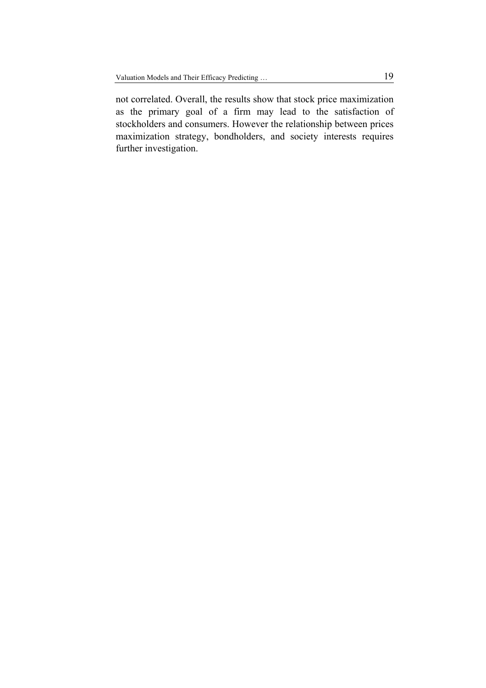not correlated. Overall, the results show that stock price maximization as the primary goal of a firm may lead to the satisfaction of stockholders and consumers. However the relationship between prices maximization strategy, bondholders, and society interests requires further investigation.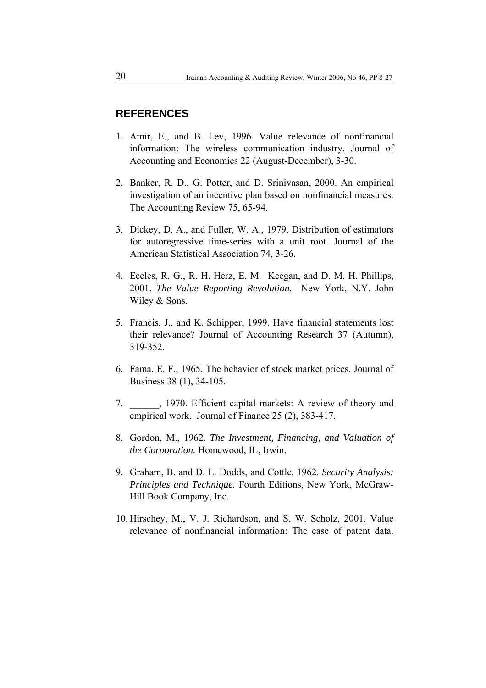# **REFERENCES**

- 1. Amir, E., and B. Lev, 1996. Value relevance of nonfinancial information: The wireless communication industry. Journal of Accounting and Economics 22 (August-December), 3-30.
- 2. Banker, R. D., G. Potter, and D. Srinivasan, 2000. An empirical investigation of an incentive plan based on nonfinancial measures. The Accounting Review 75, 65-94.
- 3. Dickey, D. A., and Fuller, W. A., 1979. Distribution of estimators for autoregressive time-series with a unit root. Journal of the American Statistical Association 74, 3-26.
- 4. Eccles, R. G., R. H. Herz, E. M. Keegan, and D. M. H. Phillips, 2001. *The Value Reporting Revolution.* New York, N.Y. John Wiley & Sons.
- 5. Francis, J., and K. Schipper, 1999. Have financial statements lost their relevance? Journal of Accounting Research 37 (Autumn), 319-352.
- 6. Fama, E. F., 1965. The behavior of stock market prices. Journal of Business 38 (1), 34-105.
- 7. \_\_\_\_\_\_, 1970. Efficient capital markets: A review of theory and empirical work. Journal of Finance 25 (2), 383-417.
- 8. Gordon, M., 1962. *The Investment, Financing, and Valuation of the Corporation.* Homewood, IL, Irwin.
- 9. Graham, B. and D. L. Dodds, and Cottle, 1962. *Security Analysis: Principles and Technique.* Fourth Editions, New York, McGraw-Hill Book Company, Inc.
- 10. Hirschey, M., V. J. Richardson, and S. W. Scholz, 2001. Value relevance of nonfinancial information: The case of patent data.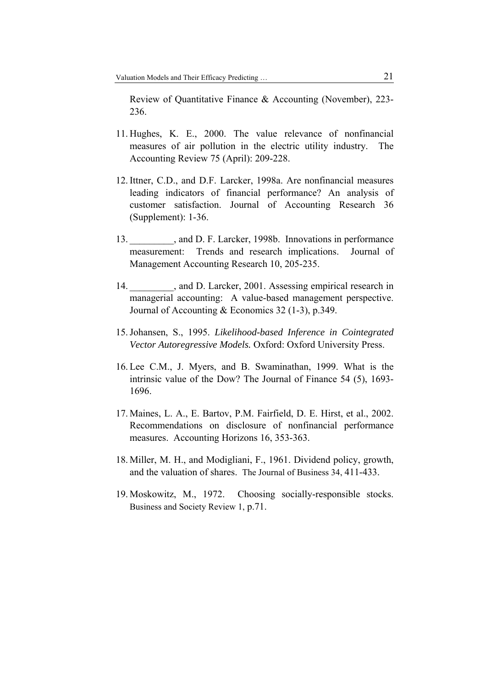Review of Quantitative Finance & Accounting (November), 223- 236.

- 11. Hughes, K. E., 2000. The value relevance of nonfinancial measures of air pollution in the electric utility industry. The Accounting Review 75 (April): 209-228.
- 12.Ittner, C.D., and D.F. Larcker, 1998a. Are nonfinancial measures leading indicators of financial performance? An analysis of customer satisfaction. Journal of Accounting Research 36 (Supplement): 1-36.
- 13. All and D. F. Larcker, 1998b. Innovations in performance measurement: Trends and research implications. Journal of Management Accounting Research 10, 205-235.
- 14. All and D. Larcker, 2001. Assessing empirical research in managerial accounting: A value-based management perspective. Journal of Accounting & Economics 32 (1-3), p.349.
- 15.Johansen, S., 1995. *Likelihood-based Inference in Cointegrated Vector Autoregressive Models.* Oxford: Oxford University Press.
- 16. Lee C.M., J. Myers, and B. Swaminathan, 1999. What is the intrinsic value of the Dow? The Journal of Finance 54 (5), 1693- 1696.
- 17. Maines, L. A., E. Bartov, P.M. Fairfield, D. E. Hirst, et al., 2002. Recommendations on disclosure of nonfinancial performance measures. Accounting Horizons 16, 353-363.
- 18. Miller, M. H., and Modigliani, F., 1961. Dividend policy, growth, and the valuation of shares. The Journal of Business 34, 411-433.
- 19. Moskowitz, M., 1972. Choosing socially-responsible stocks. Business and Society Review 1, p.71.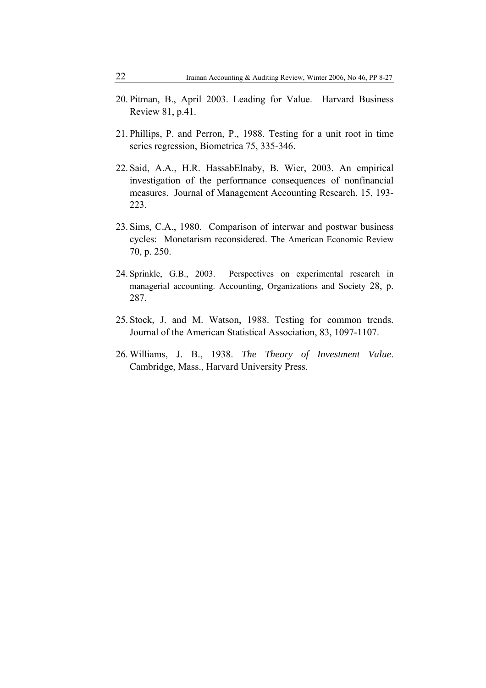- 20. Pitman, B., April 2003. Leading for Value. Harvard Business Review 81, p.41.
- 21. Phillips, P. and Perron, P., 1988. Testing for a unit root in time series regression, Biometrica 75, 335-346.
- 22. Said, A.A., H.R. HassabElnaby, B. Wier, 2003. An empirical investigation of the performance consequences of nonfinancial measures. Journal of Management Accounting Research. 15, 193- 223.
- 23. Sims, C.A., 1980. Comparison of interwar and postwar business cycles: Monetarism reconsidered. The American Economic Review 70, p. 250.
- 24. Sprinkle, G.B., 2003. Perspectives on experimental research in managerial accounting. Accounting, Organizations and Society 28, p. 287.
- 25. Stock, J. and M. Watson, 1988. Testing for common trends. Journal of the American Statistical Association, 83, 1097-1107.
- 26. Williams, J. B., 1938. *The Theory of Investment Value*. Cambridge, Mass., Harvard University Press.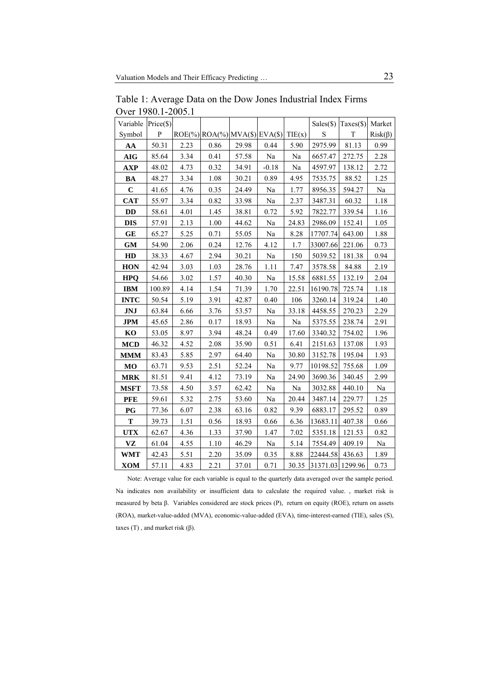| Variable       | Price(\$) |      |                                         |       |          |        | Sales(\$)        | Taxes(\$) | Market   |
|----------------|-----------|------|-----------------------------------------|-------|----------|--------|------------------|-----------|----------|
| Symbol         | P         |      | $ROE(\%)$ $ROA(\%)$ $MVA(\$)$ $EVA(\$)$ |       |          | TIE(x) | S                | T         | Risk(β)  |
| AA             | 50.31     | 2.23 | 0.86                                    | 29.98 | 0.44     | 5.90   | 2975.99          | 81.13     | 0.99     |
| $\mathbf{AIG}$ | 85.64     | 3.34 | 0.41                                    | 57.58 | Na       | Na     | 6657.47          | 272.75    | 2.28     |
| AXP            | 48.02     | 4.73 | 0.32                                    | 34.91 | $-0.18$  | Na     | 4597.97          | 138.12    | 2.72     |
| <b>BA</b>      | 48.27     | 3.34 | 1.08                                    | 30.21 | 0.89     | 4.95   | 7535.75          | 88.52     | 1.25     |
| $\mathbf C$    | 41.65     | 4.76 | 0.35                                    | 24.49 | $\rm Na$ | 1.77   | 8956.35          | 594.27    | Na       |
| <b>CAT</b>     | 55.97     | 3.34 | 0.82                                    | 33.98 | Na       | 2.37   | 3487.31          | 60.32     | 1.18     |
| <b>DD</b>      | 58.61     | 4.01 | 1.45                                    | 38.81 | 0.72     | 5.92   | 7822.77          | 339.54    | 1.16     |
| <b>DIS</b>     | 57.91     | 2.13 | $1.00\,$                                | 44.62 | Na       | 24.83  | 2986.09          | 152.41    | 1.05     |
| <b>GE</b>      | 65.27     | 5.25 | 0.71                                    | 55.05 | Na       | 8.28   | 17707.74         | 643.00    | 1.88     |
| <b>GM</b>      | 54.90     | 2.06 | 0.24                                    | 12.76 | 4.12     | 1.7    | 33007.66         | 221.06    | 0.73     |
| HD             | 38.33     | 4.67 | 2.94                                    | 30.21 | $\rm Na$ | 150    | 5039.52          | 181.38    | 0.94     |
| <b>HON</b>     | 42.94     | 3.03 | 1.03                                    | 28.76 | 1.11     | 7.47   | 3578.58          | 84.88     | 2.19     |
| <b>HPO</b>     | 54.66     | 3.02 | 1.57                                    | 40.30 | Na       | 15.58  | 6881.55          | 132.19    | 2.04     |
| <b>IBM</b>     | 100.89    | 4.14 | 1.54                                    | 71.39 | 1.70     | 22.51  | 16190.78         | 725.74    | 1.18     |
| <b>INTC</b>    | 50.54     | 5.19 | 3.91                                    | 42.87 | 0.40     | 106    | 3260.14          | 319.24    | $1.40\,$ |
| JNJ            | 63.84     | 6.66 | 3.76                                    | 53.57 | Na       | 33.18  | 4458.55          | 270.23    | 2.29     |
| <b>JPM</b>     | 45.65     | 2.86 | 0.17                                    | 18.93 | $\rm Na$ | Na     | 5375.55          | 238.74    | 2.91     |
| KO             | 53.05     | 8.97 | 3.94                                    | 48.24 | 0.49     | 17.60  | 3340.32          | 754.02    | 1.96     |
| <b>MCD</b>     | 46.32     | 4.52 | 2.08                                    | 35.90 | 0.51     | 6.41   | 2151.63          | 137.08    | 1.93     |
| <b>MMM</b>     | 83.43     | 5.85 | 2.97                                    | 64.40 | $\rm Na$ | 30.80  | 3152.78          | 195.04    | 1.93     |
| <b>MO</b>      | 63.71     | 9.53 | 2.51                                    | 52.24 | $\rm Na$ | 9.77   | 10198.52         | 755.68    | 1.09     |
| <b>MRK</b>     | 81.51     | 9.41 | 4.12                                    | 73.19 | Na       | 24.90  | 3690.36          | 340.45    | 2.99     |
| <b>MSFT</b>    | 73.58     | 4.50 | 3.57                                    | 62.42 | $\rm Na$ | Na     | 3032.88          | 440.10    | Na       |
| <b>PFE</b>     | 59.61     | 5.32 | 2.75                                    | 53.60 | Na       | 20.44  | 3487.14          | 229.77    | 1.25     |
| <b>PG</b>      | 77.36     | 6.07 | 2.38                                    | 63.16 | 0.82     | 9.39   | 6883.17          | 295.52    | 0.89     |
| T              | 39.73     | 1.51 | 0.56                                    | 18.93 | 0.66     | 6.36   | 13683.11         | 407.38    | 0.66     |
| <b>UTX</b>     | 62.67     | 4.36 | 1.33                                    | 37.90 | 1.47     | 7.02   | 5351.18          | 121.53    | 0.82     |
| <b>VZ</b>      | 61.04     | 4.55 | 1.10                                    | 46.29 | Na       | 5.14   | 7554.49          | 409.19    | Na       |
| <b>WMT</b>     | 42.43     | 5.51 | 2.20                                    | 35.09 | 0.35     | 8.88   | 22444.58         | 436.63    | 1.89     |
| <b>XOM</b>     | 57.11     | 4.83 | 2.21                                    | 37.01 | 0.71     | 30.35  | 31371.03 1299.96 |           | 0.73     |

Table 1: Average Data on the Dow Jones Industrial Index Firms Over 1980.1-2005.1

Note: Average value for each variable is equal to the quarterly data averaged over the sample period. Na indicates non availability or insufficient data to calculate the required value. , market risk is measured by beta β. Variables considered are stock prices (P), return on equity (ROE), return on assets (ROA), market-value-added (MVA), economic-value-added (EVA), time-interest-earned (TIE), sales (S), taxes (T), and market risk (β).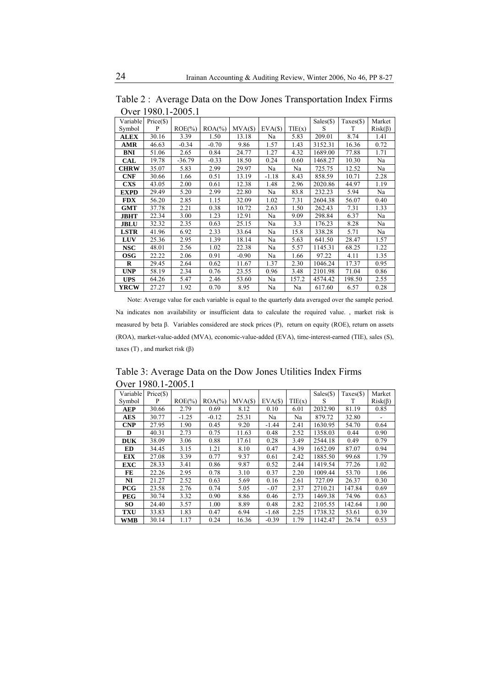Table 2 : Average Data on the Dow Jones Transportation Index Firms Over 1980.1-2005.1

| Variable    | $Price(\$))$ |            |            |         |         |        | $Sales(\$)$ | $Taxes(\$)$ | Market  |
|-------------|--------------|------------|------------|---------|---------|--------|-------------|-------------|---------|
| Symbol      | P            | $ROE(\% )$ | $ROA(\% )$ | MVA(S)  | EVA(S)  | TIE(x) | S           | T           | Risk(β) |
| <b>ALEX</b> | 30.16        | 3.39       | 1.50       | 13.18   | Na      | 5.83   | 209.01      | 8.74        | 1.41    |
| AMR         | 46.63        | $-0.34$    | $-0.70$    | 9.86    | 1.57    | 1.43   | 3152.31     | 16.36       | 0.72    |
| <b>BNI</b>  | 51.06        | 2.65       | 0.84       | 24.77   | 1.27    | 4.32   | 1689.00     | 77.88       | 1.71    |
| <b>CAL</b>  | 19.78        | $-36.79$   | $-0.33$    | 18.50   | 0.24    | 0.60   | 1468.27     | 10.30       | Na      |
| <b>CHRW</b> | 35.07        | 5.83       | 2.99       | 29.97   | Na      | Na     | 725.75      | 12.52       | Na      |
| <b>CNF</b>  | 30.66        | 1.66       | 0.51       | 13.19   | $-1.18$ | 8.43   | 858.59      | 10.71       | 2.28    |
| <b>CXS</b>  | 43.05        | 2.00       | 0.61       | 12.38   | 1.48    | 2.96   | 2020.86     | 44.97       | 1.19    |
| <b>EXPD</b> | 29.49        | 5.20       | 2.99       | 22.80   | Na      | 83.8   | 232.23      | 5.94        | Na      |
| <b>FDX</b>  | 56.20        | 2.85       | 1.15       | 32.09   | 1.02    | 7.31   | 2604.38     | 56.07       | 0.40    |
| <b>GMT</b>  | 37.78        | 2.21       | 0.38       | 10.72   | 2.63    | 1.50   | 262.43      | 7.31        | 1.33    |
| <b>JBHT</b> | 22.34        | 3.00       | 1.23       | 12.91   | Na      | 9.09   | 298.84      | 6.37        | Na      |
| <b>JBLU</b> | 32.32        | 2.35       | 0.63       | 25.15   | Na      | 3.3    | 176.23      | 8.28        | Na      |
| <b>LSTR</b> | 41.96        | 6.92       | 2.33       | 33.64   | Na      | 15.8   | 338.28      | 5.71        | Na      |
| <b>LUV</b>  | 25.36        | 2.95       | 1.39       | 18.14   | Na      | 5.63   | 641.50      | 28.47       | 1.57    |
| <b>NSC</b>  | 48.01        | 2.56       | 1.02       | 22.38   | Na      | 5.57   | 1145.31     | 68.25       | 1.22    |
| <b>OSG</b>  | 22.22        | 2.06       | 0.91       | $-0.90$ | Na      | 1.66   | 97.22       | 4.11        | 1.35    |
| $\bf{R}$    | 29.45        | 2.64       | 0.62       | 11.67   | 1.37    | 2.30   | 1046.24     | 17.37       | 0.95    |
| <b>UNP</b>  | 58.19        | 2.34       | 0.76       | 23.55   | 0.96    | 3.48   | 2101.98     | 71.04       | 0.86    |
| <b>UPS</b>  | 64.26        | 5.47       | 2.46       | 53.60   | Na      | 157.2  | 4574.42     | 198.50      | 2.55    |
| YRCW        | 27.27        | 1.92       | 0.70       | 8.95    | Na      | Na     | 617.60      | 6.57        | 0.28    |

Note: Average value for each variable is equal to the quarterly data averaged over the sample period. Na indicates non availability or insufficient data to calculate the required value. , market risk is measured by beta β. Variables considered are stock prices (P), return on equity (ROE), return on assets (ROA), market-value-added (MVA), economic-value-added (EVA), time-interest-earned (TIE), sales (S), taxes (T), and market risk (β)

Table 3: Average Data on the Dow Jones Utilities Index Firms Over 1980.1-2005.1

| Variable   | Price (\$) |            |            |        |         |        | $Sales(\$)$ | $Taxes(\$)$ | Market  |
|------------|------------|------------|------------|--------|---------|--------|-------------|-------------|---------|
| Symbol     | P          | $ROE(\% )$ | $ROA(\% )$ | MVA(S) | EVA(S)  | TIE(x) | S           | T           | Risk(β) |
| <b>AEP</b> | 30.66      | 2.79       | 0.69       | 8.12   | 0.10    | 6.01   | 2032.90     | 81.19       | 0.85    |
| <b>AES</b> | 30.77      | $-1.25$    | $-0.12$    | 25.31  | Na      | Na     | 879.72      | 32.80       |         |
| <b>CNP</b> | 27.95      | 1.90       | 0.45       | 9.20   | $-1.44$ | 2.41   | 1630.95     | 54.70       | 0.64    |
| D          | 40.31      | 2.73       | 0.75       | 11.63  | 0.48    | 2.52   | 1358.03     | 0.44        | 0.90    |
| <b>DUK</b> | 38.09      | 3.06       | 0.88       | 17.61  | 0.28    | 3.49   | 2544.18     | 0.49        | 0.79    |
| <b>ED</b>  | 34.45      | 3.15       | 1.21       | 8.10   | 0.47    | 4.39   | 1652.09     | 87.07       | 0.94    |
| <b>EIX</b> | 27.08      | 3.39       | 0.77       | 9.37   | 0.61    | 2.42   | 1885.50     | 99.68       | 1.79    |
| <b>EXC</b> | 28.33      | 3.41       | 0.86       | 9.87   | 0.52    | 2.44   | 1419.54     | 77.26       | 1.02    |
| FE         | 22.26      | 2.95       | 0.78       | 3.10   | 0.37    | 2.20   | 1009.44     | 53.70       | 1.06    |
| NI         | 21.27      | 2.52       | 0.63       | 5.69   | 0.16    | 2.61   | 727.09      | 26.37       | 0.30    |
| <b>PCG</b> | 23.58      | 2.76       | 0.74       | 5.05   | $-.07$  | 2.37   | 2710.21     | 147.84      | 0.69    |
| <b>PEG</b> | 30.74      | 3.32       | 0.90       | 8.86   | 0.46    | 2.73   | 1469.38     | 74.96       | 0.63    |
| SO.        | 24.40      | 3.57       | 1.00       | 8.89   | 0.48    | 2.82   | 2105.55     | 142.64      | 1.00    |
| <b>TXU</b> | 33.83      | 1.83       | 0.47       | 6.94   | $-1.68$ | 2.25   | 1738.32     | 53.61       | 0.39    |
| <b>WMB</b> | 30.14      | 1.17       | 0.24       | 16.36  | $-0.39$ | 1.79   | 1142.47     | 26.74       | 0.53    |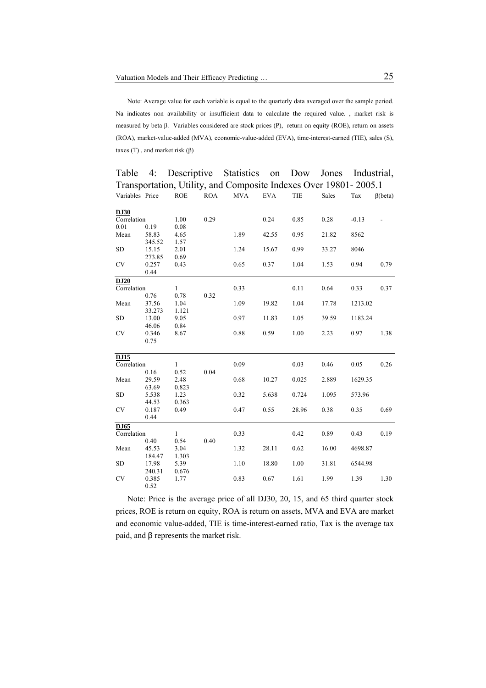Note: Average value for each variable is equal to the quarterly data averaged over the sample period. Na indicates non availability or insufficient data to calculate the required value. , market risk is measured by beta β. Variables considered are stock prices (P), return on equity (ROE), return on assets (ROA), market-value-added (MVA), economic-value-added (EVA), time-interest-earned (TIE), sales (S), taxes  $(T)$ , and market risk  $(\beta)$ 

| Transportation, Utility, and Composite Indexes Over 19801-2005.1 |               |            |            |            |            |       |       |         |                |
|------------------------------------------------------------------|---------------|------------|------------|------------|------------|-------|-------|---------|----------------|
| Variables Price                                                  |               | <b>ROE</b> | <b>ROA</b> | <b>MVA</b> | <b>EVA</b> | TIE   | Sales | Tax     | $\beta$ (beta) |
| <b>DJ30</b>                                                      |               |            |            |            |            |       |       |         |                |
| Correlation                                                      |               | 1.00       | 0.29       |            | 0.24       | 0.85  | 0.28  | $-0.13$ |                |
| 0.01                                                             | 0.19          | 0.08       |            |            |            |       |       |         |                |
| Mean                                                             | 58.83         | 4.65       |            | 1.89       | 42.55      | 0.95  | 21.82 | 8562    |                |
|                                                                  | 345.52        | 1.57       |            |            |            |       |       |         |                |
| <b>SD</b>                                                        | 15.15         | 2.01       |            | 1.24       | 15.67      | 0.99  | 33.27 | 8046    |                |
|                                                                  | 273.85        | 0.69       |            |            |            |       |       |         |                |
| <b>CV</b>                                                        | 0.257<br>0.44 | 0.43       |            | 0.65       | 0.37       | 1.04  | 1.53  | 0.94    | 0.79           |
| DJ20                                                             |               |            |            |            |            |       |       |         |                |
| Correlation                                                      |               | 1          |            | 0.33       |            | 0.11  | 0.64  | 0.33    | 0.37           |
|                                                                  | 0.76          | 0.78       | 0.32       |            |            |       |       |         |                |
| Mean                                                             | 37.56         | 1.04       |            | 1.09       | 19.82      | 1.04  | 17.78 | 1213.02 |                |
|                                                                  | 33.273        | 1.121      |            |            |            |       |       |         |                |
| SD                                                               | 13.00         | 9.05       |            | 0.97       | 11.83      | 1.05  | 39.59 | 1183.24 |                |
|                                                                  | 46.06         | 0.84       |            |            |            |       |       |         |                |
| <b>CV</b>                                                        | 0.346<br>0.75 | 8.67       |            | 0.88       | 0.59       | 1.00  | 2.23  | 0.97    | 1.38           |
| DJ15                                                             |               |            |            |            |            |       |       |         |                |
| Correlation                                                      |               | 1          |            | 0.09       |            | 0.03  | 0.46  | 0.05    | 0.26           |
|                                                                  | 0.16          | 0.52       | 0.04       |            |            |       |       |         |                |
| Mean                                                             | 29.59         | 2.48       |            | 0.68       | 10.27      | 0.025 | 2.889 | 1629.35 |                |
|                                                                  | 63.69         | 0.823      |            |            |            |       |       |         |                |
| <b>SD</b>                                                        | 5.538         | 1.23       |            | 0.32       | 5.638      | 0.724 | 1.095 | 573.96  |                |
|                                                                  | 44.53         | 0.363      |            |            |            |       |       |         |                |
| CV                                                               | 0.187         | 0.49       |            | 0.47       | 0.55       | 28.96 | 0.38  | 0.35    | 0.69           |
|                                                                  | 0.44          |            |            |            |            |       |       |         |                |
| DJ65                                                             |               |            |            |            |            |       |       |         |                |
| Correlation                                                      |               | 1          |            | 0.33       |            | 0.42  | 0.89  | 0.43    | 0.19           |
|                                                                  | 0.40          | 0.54       | 0.40       |            |            |       |       |         |                |
| Mean                                                             | 45.53         | 3.04       |            | 1.32       | 28.11      | 0.62  | 16.00 | 4698.87 |                |
|                                                                  | 184.47        | 1.303      |            |            |            |       |       |         |                |
| <b>SD</b>                                                        | 17.98         | 5.39       |            | 1.10       | 18.80      | 1.00  | 31.81 | 6544.98 |                |
|                                                                  | 240.31        | 0.676      |            |            |            |       |       |         |                |
| <b>CV</b>                                                        | 0.385<br>0.52 | 1.77       |            | 0.83       | 0.67       | 1.61  | 1.99  | 1.39    | 1.30           |

Table 4: Descriptive Statistics on Dow Jones Industrial,

Note: Price is the average price of all DJ30, 20, 15, and 65 third quarter stock prices, ROE is return on equity, ROA is return on assets, MVA and EVA are market and economic value-added, TIE is time-interest-earned ratio, Tax is the average tax paid, and β represents the market risk.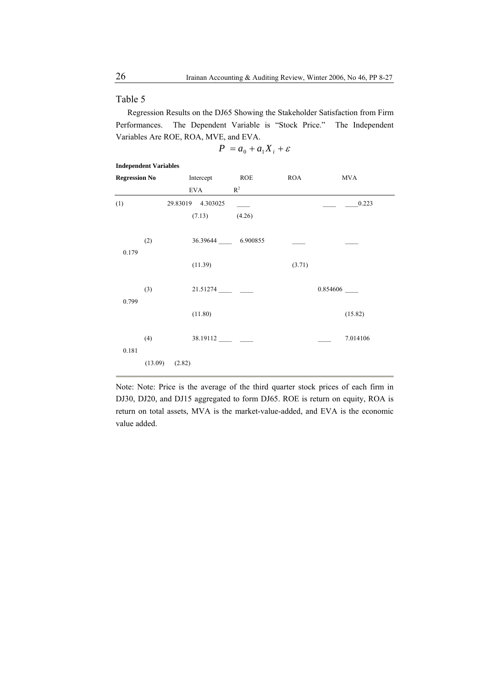#### Table 5

Regression Results on the DJ65 Showing the Stakeholder Satisfaction from Firm Performances. The Dependent Variable is "Stock Price." The Independent Variables Are ROE, ROA, MVE, and EVA.

$$
P = a_0 + a_1 X_i + \varepsilon
$$

#### **Independent Variables**

| <b>Regression No</b> |         |        | Intercept         | <b>ROE</b>        | <b>ROA</b> | <b>MVA</b> |  |
|----------------------|---------|--------|-------------------|-------------------|------------|------------|--|
|                      |         |        | EVA               | $R^2$             |            |            |  |
| (1)                  |         |        | 29.83019 4.303025 |                   |            | 0.223      |  |
|                      |         |        | (7.13)            | (4.26)            |            |            |  |
| 0.179                | (2)     |        |                   | 36.39644 6.900855 |            |            |  |
|                      |         |        | (11.39)           |                   | (3.71)     |            |  |
| 0.799                | (3)     |        | 21.51274          |                   |            |            |  |
|                      |         |        | (11.80)           |                   |            | (15.82)    |  |
| 0.181                | (4)     |        |                   |                   |            | 7.014106   |  |
|                      | (13.09) | (2.82) |                   |                   |            |            |  |

Note: Note: Price is the average of the third quarter stock prices of each firm in DJ30, DJ20, and DJ15 aggregated to form DJ65. ROE is return on equity, ROA is return on total assets, MVA is the market-value-added, and EVA is the economic value added.